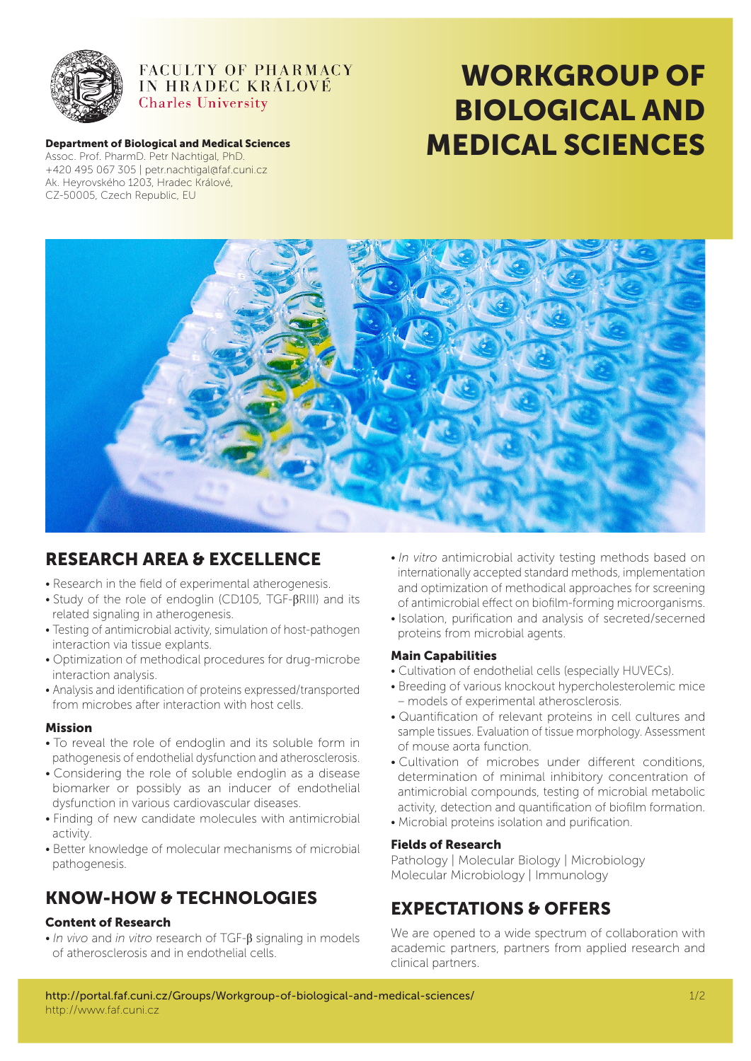

#### FACULTY OF PHARMACY IN HRADEC KRÁLOVÉ **Charles University**

#### Department of Biological and Medical Sciences +420 495 067 305 | petr.nachtigal@faf.cuni.cz Ak. Heyrovského 1203, Hradec Králové, CZ-50005, Czech Republic, EU

# WORKGROUP OF BIOLOGICAL AND Department of Biological and Medical Sciences<br>Assoc. Prof. PharmD. Petr Nachtigal, PhD.



# RESEARCH AREA & EXCELLENCE

- • Research in the field of experimental atherogenesis.
- Study of the role of endoglin (CD105, TGF-βRIII) and its related signaling in atherogenesis.
- • Testing of antimicrobial activity, simulation of host-pathogen interaction via tissue explants.
- • Optimization of methodical procedures for drug-microbe interaction analysis.
- • Analysis and identification of proteins expressed/transported from microbes after interaction with host cells.

#### Mission

- • To reveal the role of endoglin and its soluble form in pathogenesis of endothelial dysfunction and atherosclerosis.
- • Considering the role of soluble endoglin as a disease biomarker or possibly as an inducer of endothelial dysfunction in various cardiovascular diseases.
- • Finding of new candidate molecules with antimicrobial activity.
- Better knowledge of molecular mechanisms of microbial pathogenesis.

# KNOW-HOW & TECHNOLOGIES

#### Content of Research

• *In vivo* and *in vitro* research of TGF-β signaling in models of atherosclerosis and in endothelial cells.

- • *In vitro* antimicrobial activity testing methods based on internationally accepted standard methods, implementation and optimization of methodical approaches for screening of antimicrobial effect on biofilm-forming microorganisms.
- • Isolation, purification and analysis of secreted/secerned proteins from microbial agents.

#### Main Capabilities

- • Cultivation of endothelial cells (especially HUVECs).
- • Breeding of various knockout hypercholesterolemic mice – models of experimental atherosclerosis.
- • Quantification of relevant proteins in cell cultures and sample tissues. Evaluation of tissue morphology. Assessment of mouse aorta function.
- • Cultivation of microbes under different conditions, determination of minimal inhibitory concentration of antimicrobial compounds, testing of microbial metabolic activity, detection and quantification of biofilm formation.
- • Microbial proteins isolation and purification.

#### Fields of Research

Pathology | Molecular Biology | Microbiology Molecular Microbiology | Immunology

# EXPECTATIONS & OFFERS

We are opened to a wide spectrum of collaboration with academic partners, partners from applied research and clinical partners.